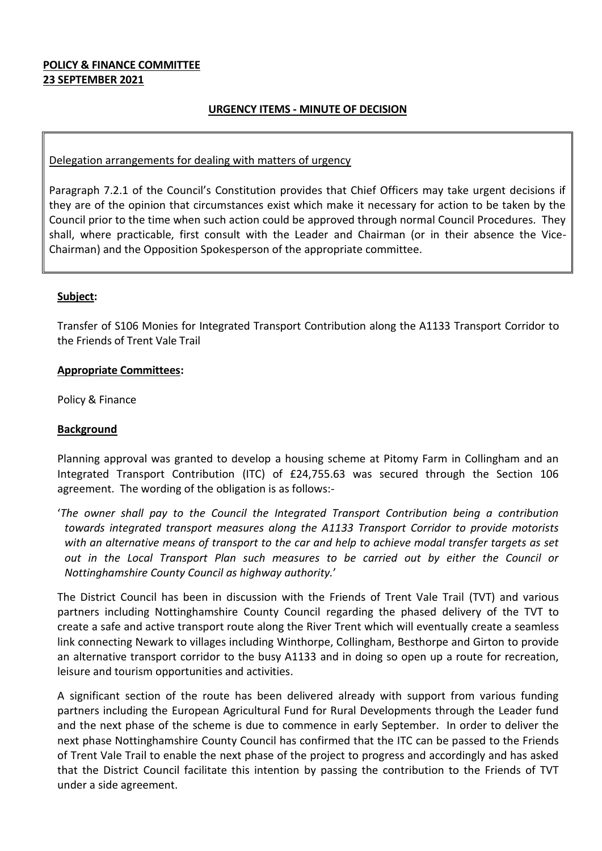# **POLICY & FINANCE COMMITTEE 23 SEPTEMBER 2021**

# **URGENCY ITEMS - MINUTE OF DECISION**

### Delegation arrangements for dealing with matters of urgency

Paragraph 7.2.1 of the Council's Constitution provides that Chief Officers may take urgent decisions if they are of the opinion that circumstances exist which make it necessary for action to be taken by the Council prior to the time when such action could be approved through normal Council Procedures. They shall, where practicable, first consult with the Leader and Chairman (or in their absence the Vice-Chairman) and the Opposition Spokesperson of the appropriate committee.

# **Subject:**

Transfer of S106 Monies for Integrated Transport Contribution along the A1133 Transport Corridor to the Friends of Trent Vale Trail

# **Appropriate Committees:**

Policy & Finance

# **Background**

Planning approval was granted to develop a housing scheme at Pitomy Farm in Collingham and an Integrated Transport Contribution (ITC) of £24,755.63 was secured through the Section 106 agreement. The wording of the obligation is as follows:-

'*The owner shall pay to the Council the Integrated Transport Contribution being a contribution towards integrated transport measures along the A1133 Transport Corridor to provide motorists with an alternative means of transport to the car and help to achieve modal transfer targets as set out in the Local Transport Plan such measures to be carried out by either the Council or Nottinghamshire County Council as highway authority.*'

The District Council has been in discussion with the Friends of Trent Vale Trail (TVT) and various partners including Nottinghamshire County Council regarding the phased delivery of the TVT to create a safe and active transport route along the River Trent which will eventually create a seamless link connecting Newark to villages including Winthorpe, Collingham, Besthorpe and Girton to provide an alternative transport corridor to the busy A1133 and in doing so open up a route for recreation, leisure and tourism opportunities and activities.

A significant section of the route has been delivered already with support from various funding partners including the European Agricultural Fund for Rural Developments through the Leader fund and the next phase of the scheme is due to commence in early September. In order to deliver the next phase Nottinghamshire County Council has confirmed that the ITC can be passed to the Friends of Trent Vale Trail to enable the next phase of the project to progress and accordingly and has asked that the District Council facilitate this intention by passing the contribution to the Friends of TVT under a side agreement.